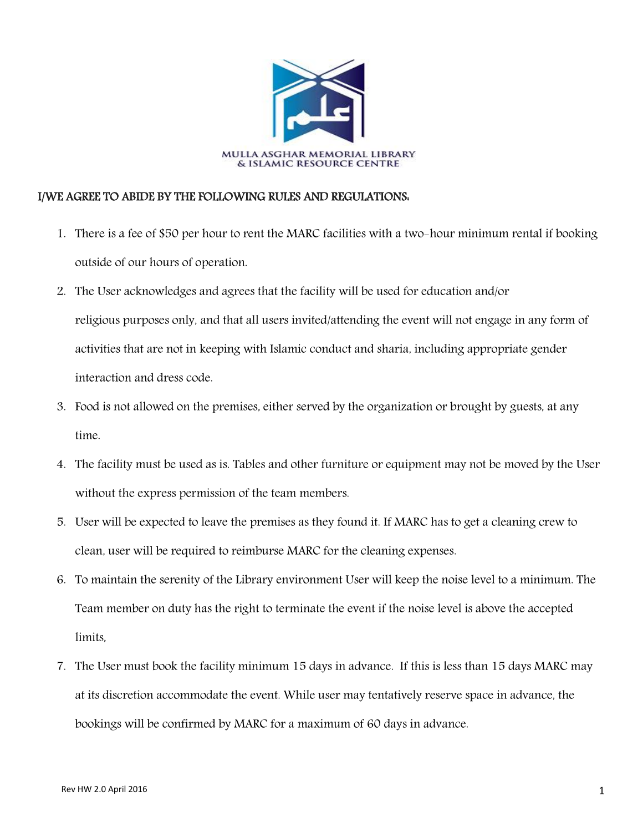

## I/WE AGREE TO ABIDE BY THE FOLLOWING RULES AND REGULATIONS:

- 1. There is a fee of \$50 per hour to rent the MARC facilities with a two-hour minimum rental if booking outside of our hours of operation.
- 2. The User acknowledges and agrees that the facility will be used for education and/or religious purposes only, and that all users invited/attending the event will not engage in any form of activities that are not in keeping with Islamic conduct and sharia, including appropriate gender interaction and dress code.
- 3. Food is not allowed on the premises, either served by the organization or brought by guests, at any time.
- 4. The facility must be used as is. Tables and other furniture or equipment may not be moved by the User without the express permission of the team members.
- 5. User will be expected to leave the premises as they found it. If MARC has to get a cleaning crew to clean, user will be required to reimburse MARC for the cleaning expenses.
- 6. To maintain the serenity of the Library environment User will keep the noise level to a minimum. The Team member on duty has the right to terminate the event if the noise level is above the accepted limits,
- 7. The User must book the facility minimum 15 days in advance. If this is less than 15 days MARC may at its discretion accommodate the event. While user may tentatively reserve space in advance, the bookings will be confirmed by MARC for a maximum of 60 days in advance.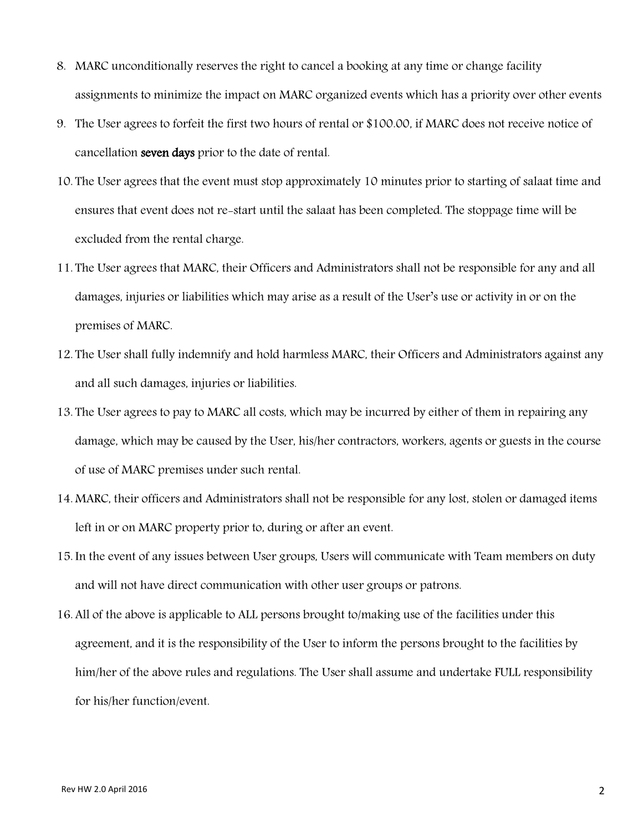- 8. MARC unconditionally reserves the right to cancel a booking at any time or change facility assignments to minimize the impact on MARC organized events which has a priority over other events
- 9. The User agrees to forfeit the first two hours of rental or \$100.00, if MARC does not receive notice of cancellation seven days prior to the date of rental.
- 10. The User agrees that the event must stop approximately 10 minutes prior to starting of salaat time and ensures that event does not re-start until the salaat has been completed. The stoppage time will be excluded from the rental charge.
- 11. The User agrees that MARC, their Officers and Administrators shall not be responsible for any and all damages, injuries or liabilities which may arise as a result of the User's use or activity in or on the premises of MARC.
- 12. The User shall fully indemnify and hold harmless MARC, their Officers and Administrators against any and all such damages, injuries or liabilities.
- 13. The User agrees to pay to MARC all costs, which may be incurred by either of them in repairing any damage, which may be caused by the User, his/her contractors, workers, agents or guests in the course of use of MARC premises under such rental.
- 14. MARC, their officers and Administrators shall not be responsible for any lost, stolen or damaged items left in or on MARC property prior to, during or after an event.
- 15. In the event of any issues between User groups, Users will communicate with Team members on duty and will not have direct communication with other user groups or patrons.
- 16. All of the above is applicable to ALL persons brought to/making use of the facilities under this agreement, and it is the responsibility of the User to inform the persons brought to the facilities by him/her of the above rules and regulations. The User shall assume and undertake FULL responsibility for his/her function/event.